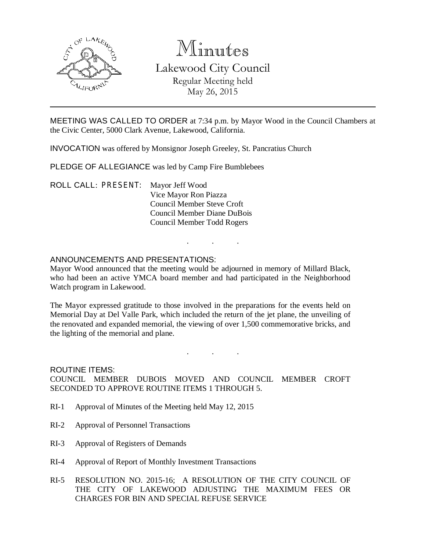

# Minutes

Lakewood City Council Regular Meeting held May 26, 2015

MEETING WAS CALLED TO ORDER at 7:34 p.m. by Mayor Wood in the Council Chambers at the Civic Center, 5000 Clark Avenue, Lakewood, California.

INVOCATION was offered by Monsignor Joseph Greeley, St. Pancratius Church

PLEDGE OF ALLEGIANCE was led by Camp Fire Bumblebees

ROLL CALL: PRESENT: Mayor Jeff Wood Vice Mayor Ron Piazza Council Member Steve Croft Council Member Diane DuBois Council Member Todd Rogers

### ANNOUNCEMENTS AND PRESENTATIONS:

Mayor Wood announced that the meeting would be adjourned in memory of Millard Black, who had been an active YMCA board member and had participated in the Neighborhood Watch program in Lakewood.

. . .

The Mayor expressed gratitude to those involved in the preparations for the events held on Memorial Day at Del Valle Park, which included the return of the jet plane, the unveiling of the renovated and expanded memorial, the viewing of over 1,500 commemorative bricks, and the lighting of the memorial and plane.

. . .

ROUTINE ITEMS: COUNCIL MEMBER DUBOIS MOVED AND COUNCIL MEMBER CROFT SECONDED TO APPROVE ROUTINE ITEMS 1 THROUGH 5.

- RI-1 Approval of Minutes of the Meeting held May 12, 2015
- RI-2 Approval of Personnel Transactions
- RI-3 Approval of Registers of Demands
- RI-4 Approval of Report of Monthly Investment Transactions
- RI-5 RESOLUTION NO. 2015-16; A RESOLUTION OF THE CITY COUNCIL OF THE CITY OF LAKEWOOD ADJUSTING THE MAXIMUM FEES OR CHARGES FOR BIN AND SPECIAL REFUSE SERVICE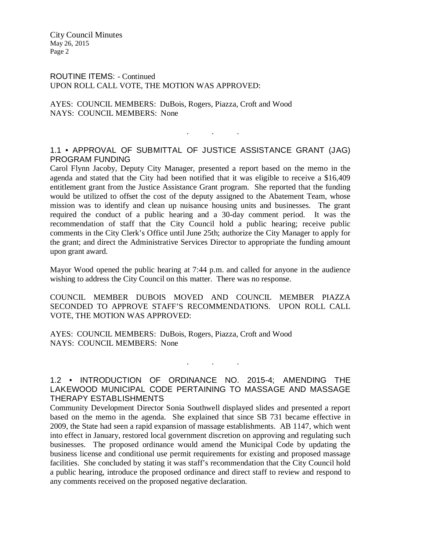ROUTINE ITEMS: - Continued UPON ROLL CALL VOTE, THE MOTION WAS APPROVED:

AYES: COUNCIL MEMBERS: DuBois, Rogers, Piazza, Croft and Wood NAYS: COUNCIL MEMBERS: None

## 1.1 • APPROVAL OF SUBMITTAL OF JUSTICE ASSISTANCE GRANT (JAG) PROGRAM FUNDING

. . .

Carol Flynn Jacoby, Deputy City Manager, presented a report based on the memo in the agenda and stated that the City had been notified that it was eligible to receive a \$16,409 entitlement grant from the Justice Assistance Grant program. She reported that the funding would be utilized to offset the cost of the deputy assigned to the Abatement Team, whose mission was to identify and clean up nuisance housing units and businesses. The grant required the conduct of a public hearing and a 30-day comment period. It was the recommendation of staff that the City Council hold a public hearing; receive public comments in the City Clerk's Office until June 25th; authorize the City Manager to apply for the grant; and direct the Administrative Services Director to appropriate the funding amount upon grant award.

Mayor Wood opened the public hearing at 7:44 p.m. and called for anyone in the audience wishing to address the City Council on this matter. There was no response.

COUNCIL MEMBER DUBOIS MOVED AND COUNCIL MEMBER PIAZZA SECONDED TO APPROVE STAFF'S RECOMMENDATIONS. UPON ROLL CALL VOTE, THE MOTION WAS APPROVED:

AYES: COUNCIL MEMBERS: DuBois, Rogers, Piazza, Croft and Wood NAYS: COUNCIL MEMBERS: None

### 1.2 • INTRODUCTION OF ORDINANCE NO. 2015-4; AMENDING THE LAKEWOOD MUNICIPAL CODE PERTAINING TO MASSAGE AND MASSAGE THERAPY ESTABLISHMENTS

. . .

Community Development Director Sonia Southwell displayed slides and presented a report based on the memo in the agenda. She explained that since SB 731 became effective in 2009, the State had seen a rapid expansion of massage establishments. AB 1147, which went into effect in January, restored local government discretion on approving and regulating such businesses. The proposed ordinance would amend the Municipal Code by updating the business license and conditional use permit requirements for existing and proposed massage facilities. She concluded by stating it was staff's recommendation that the City Council hold a public hearing, introduce the proposed ordinance and direct staff to review and respond to any comments received on the proposed negative declaration.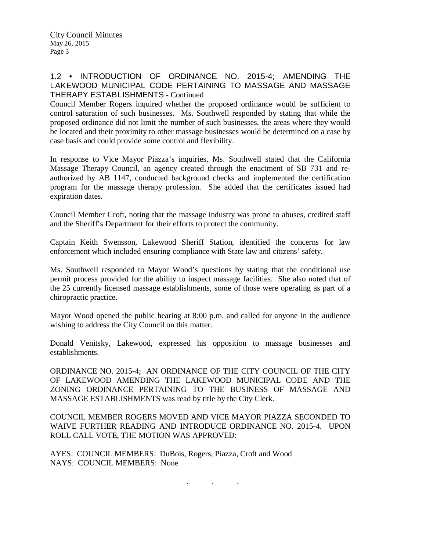## 1.2 • INTRODUCTION OF ORDINANCE NO. 2015-4; AMENDING THE LAKEWOOD MUNICIPAL CODE PERTAINING TO MASSAGE AND MASSAGE THERAPY ESTABLISHMENTS - Continued

Council Member Rogers inquired whether the proposed ordinance would be sufficient to control saturation of such businesses. Ms. Southwell responded by stating that while the proposed ordinance did not limit the number of such businesses, the areas where they would be located and their proximity to other massage businesses would be determined on a case by case basis and could provide some control and flexibility.

In response to Vice Mayor Piazza's inquiries, Ms. Southwell stated that the California Massage Therapy Council, an agency created through the enactment of SB 731 and reauthorized by AB 1147, conducted background checks and implemented the certification program for the massage therapy profession. She added that the certificates issued had expiration dates.

Council Member Croft, noting that the massage industry was prone to abuses, credited staff and the Sheriff's Department for their efforts to protect the community.

Captain Keith Swensson, Lakewood Sheriff Station, identified the concerns for law enforcement which included ensuring compliance with State law and citizens' safety.

Ms. Southwell responded to Mayor Wood's questions by stating that the conditional use permit process provided for the ability to inspect massage facilities. She also noted that of the 25 currently licensed massage establishments, some of those were operating as part of a chiropractic practice.

Mayor Wood opened the public hearing at 8:00 p.m. and called for anyone in the audience wishing to address the City Council on this matter.

Donald Venitsky, Lakewood, expressed his opposition to massage businesses and establishments.

ORDINANCE NO. 2015-4; AN ORDINANCE OF THE CITY COUNCIL OF THE CITY OF LAKEWOOD AMENDING THE LAKEWOOD MUNICIPAL CODE AND THE ZONING ORDINANCE PERTAINING TO THE BUSINESS OF MASSAGE AND MASSAGE ESTABLISHMENTS was read by title by the City Clerk.

COUNCIL MEMBER ROGERS MOVED AND VICE MAYOR PIAZZA SECONDED TO WAIVE FURTHER READING AND INTRODUCE ORDINANCE NO. 2015-4. UPON ROLL CALL VOTE, THE MOTION WAS APPROVED:

. . .

AYES: COUNCIL MEMBERS: DuBois, Rogers, Piazza, Croft and Wood NAYS: COUNCIL MEMBERS: None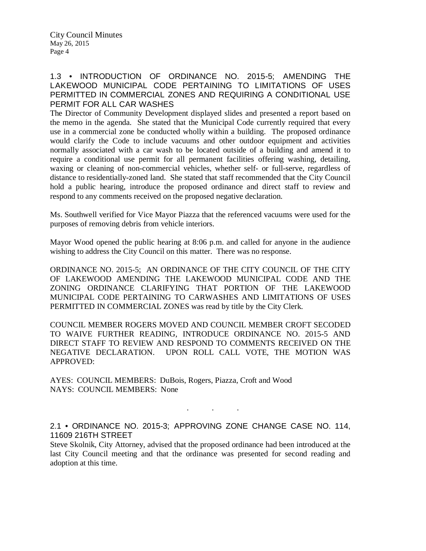## 1.3 • INTRODUCTION OF ORDINANCE NO. 2015-5; AMENDING THE LAKEWOOD MUNICIPAL CODE PERTAINING TO LIMITATIONS OF USES PERMITTED IN COMMERCIAL ZONES AND REQUIRING A CONDITIONAL USE PERMIT FOR ALL CAR WASHES

The Director of Community Development displayed slides and presented a report based on the memo in the agenda. She stated that the Municipal Code currently required that every use in a commercial zone be conducted wholly within a building. The proposed ordinance would clarify the Code to include vacuums and other outdoor equipment and activities normally associated with a car wash to be located outside of a building and amend it to require a conditional use permit for all permanent facilities offering washing, detailing, waxing or cleaning of non-commercial vehicles, whether self- or full-serve, regardless of distance to residentially-zoned land. She stated that staff recommended that the City Council hold a public hearing, introduce the proposed ordinance and direct staff to review and respond to any comments received on the proposed negative declaration.

Ms. Southwell verified for Vice Mayor Piazza that the referenced vacuums were used for the purposes of removing debris from vehicle interiors.

Mayor Wood opened the public hearing at 8:06 p.m. and called for anyone in the audience wishing to address the City Council on this matter. There was no response.

ORDINANCE NO. 2015-5; AN ORDINANCE OF THE CITY COUNCIL OF THE CITY OF LAKEWOOD AMENDING THE LAKEWOOD MUNICIPAL CODE AND THE ZONING ORDINANCE CLARIFYING THAT PORTION OF THE LAKEWOOD MUNICIPAL CODE PERTAINING TO CARWASHES AND LIMITATIONS OF USES PERMITTED IN COMMERCIAL ZONES was read by title by the City Clerk.

COUNCIL MEMBER ROGERS MOVED AND COUNCIL MEMBER CROFT SECODED TO WAIVE FURTHER READING, INTRODUCE ORDINANCE NO. 2015-5 AND DIRECT STAFF TO REVIEW AND RESPOND TO COMMENTS RECEIVED ON THE NEGATIVE DECLARATION. UPON ROLL CALL VOTE, THE MOTION WAS APPROVED:

AYES: COUNCIL MEMBERS: DuBois, Rogers, Piazza, Croft and Wood NAYS: COUNCIL MEMBERS: None

2.1 • ORDINANCE NO. 2015-3; APPROVING ZONE CHANGE CASE NO. 114, 11609 216TH STREET

. . .

Steve Skolnik, City Attorney, advised that the proposed ordinance had been introduced at the last City Council meeting and that the ordinance was presented for second reading and adoption at this time.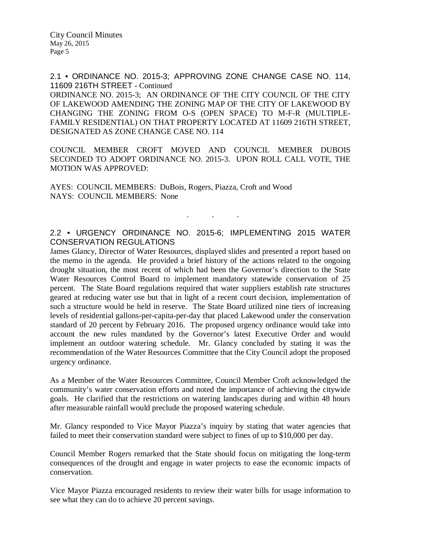2.1 • ORDINANCE NO. 2015-3; APPROVING ZONE CHANGE CASE NO. 114, 11609 216TH STREET - Continued

ORDINANCE NO. 2015-3; AN ORDINANCE OF THE CITY COUNCIL OF THE CITY OF LAKEWOOD AMENDING THE ZONING MAP OF THE CITY OF LAKEWOOD BY CHANGING THE ZONING FROM O-S (OPEN SPACE) TO M-F-R (MULTIPLE-FAMILY RESIDENTIAL) ON THAT PROPERTY LOCATED AT 11609 216TH STREET, DESIGNATED AS ZONE CHANGE CASE NO. 114

COUNCIL MEMBER CROFT MOVED AND COUNCIL MEMBER DUBOIS SECONDED TO ADOPT ORDINANCE NO. 2015-3. UPON ROLL CALL VOTE, THE MOTION WAS APPROVED:

AYES: COUNCIL MEMBERS: DuBois, Rogers, Piazza, Croft and Wood NAYS: COUNCIL MEMBERS: None

#### 2.2 • URGENCY ORDINANCE NO. 2015-6; IMPLEMENTING 2015 WATER CONSERVATION REGULATIONS

. . .

James Glancy, Director of Water Resources, displayed slides and presented a report based on the memo in the agenda. He provided a brief history of the actions related to the ongoing drought situation, the most recent of which had been the Governor's direction to the State Water Resources Control Board to implement mandatory statewide conservation of 25 percent. The State Board regulations required that water suppliers establish rate structures geared at reducing water use but that in light of a recent court decision, implementation of such a structure would be held in reserve. The State Board utilized nine tiers of increasing levels of residential gallons-per-capita-per-day that placed Lakewood under the conservation standard of 20 percent by February 2016. The proposed urgency ordinance would take into account the new rules mandated by the Governor's latest Executive Order and would implement an outdoor watering schedule. Mr. Glancy concluded by stating it was the recommendation of the Water Resources Committee that the City Council adopt the proposed urgency ordinance.

As a Member of the Water Resources Committee, Council Member Croft acknowledged the community's water conservation efforts and noted the importance of achieving the citywide goals. He clarified that the restrictions on watering landscapes during and within 48 hours after measurable rainfall would preclude the proposed watering schedule.

Mr. Glancy responded to Vice Mayor Piazza's inquiry by stating that water agencies that failed to meet their conservation standard were subject to fines of up to \$10,000 per day.

Council Member Rogers remarked that the State should focus on mitigating the long-term consequences of the drought and engage in water projects to ease the economic impacts of conservation.

Vice Mayor Piazza encouraged residents to review their water bills for usage information to see what they can do to achieve 20 percent savings.